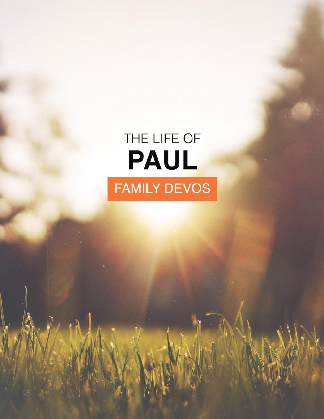# THE LIFE OF PAUL **FAMILY DEVOS**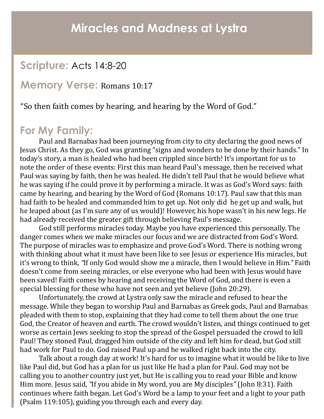### **Scripture:** Acts 14:8-20

#### **Memory Verse:** Romans 10:17

"So then faith comes by hearing, and hearing by the Word of God."

### **For My Family:**

Paul and Barnabas had been journeying from city to city declaring the good news of Jesus Christ. As they go, God was granting "signs and wonders to be done by their hands." In today's story, a man is healed who had been crippled since birth! It's important for us to note the order of these events: First this man heard Paul's message, then he received what Paul was saying by faith, then he was healed. He didn't tell Paul that he would believe what he was saying if he could prove it by performing a miracle. It was as God's Word says: faith came by hearing, and hearing by the Word of God (Romans 10:17). Paul saw that this man had faith to be healed and commanded him to get up. Not only did he get up and walk, but he leaped about (as I'm sure any of us would)! However, his hope wasn't in his new legs. He had already received the greater gift through believing Paul's message.

God still performs miracles today. Maybe you have experienced this personally. The danger comes when we make miracles our focus and we are distracted from God's Word. The purpose of miracles was to emphasize and prove God's Word. There is nothing wrong with thinking about what it must have been like to see Jesus or experience His miracles, but it's wrong to think, *"*If only God would show me a miracle, then I would believe in Him*."* Faith doesn't come from seeing miracles, or else everyone who had been with Jesus would have been saved! Faith comes by hearing and receiving the Word of God, and there is even a special blessing for those who have not seen and yet believe (John 20:29).

Unfortunately, the crowd at Lystra only saw the miracle and refused to hear the message. While they began to worship Paul and Barnabas as Greek gods, Paul and Barnabas pleaded with them to stop, explaining that they had come to tell them about the one true God, the Creator of heaven and earth. The crowd wouldn't listen, and things continued to get worse as certain Jews seeking to stop the spread of the Gospel persuaded the crowd to kill Paul! They stoned Paul, dragged him outside of the city and left him for dead, but God still had work for Paul to do. God raised Paul up and he walked right back into the city.

Talk about a rough day at work! It's hard for us to imagine what it would be like to live like Paul did, but God has a plan for us just like He had a plan for Paul. God may not be calling you to another country just yet, but He is calling you to read your Bible and know Him more. Jesus said, *"*If you abide in My word, you are My disciples*"* (John 8:31). Faith continues where faith began. Let God's Word be a lamp to your feet and a light to your path (Psalm 119:105), guiding you through each and every day.